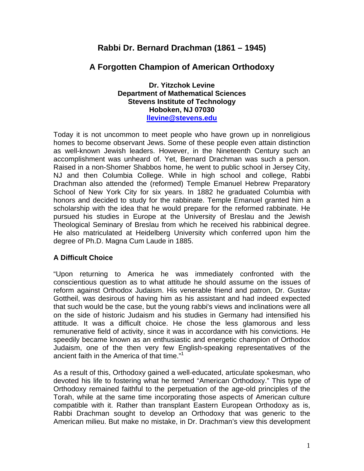# **Rabbi Dr. Bernard Drachman (1861 – 1945)**

## **A Forgotten Champion of American Orthodoxy**

**Dr. Yitzchok Levine Department of Mathematical Sciences Stevens Institute of Technology Hoboken, NJ 07030 llevine@stevens.edu**

Today it is not uncommon to meet people who have grown up in nonreligious homes to become observant Jews. Some of these people even attain distinction as well-known Jewish leaders. However, in the Nineteenth Century such an accomplishment was unheard of. Yet, Bernard Drachman was such a person. Raised in a non-Shomer Shabbos home, he went to public school in Jersey City, NJ and then Columbia College. While in high school and college, Rabbi Drachman also attended the (reformed) Temple Emanuel Hebrew Preparatory School of New York City for six years. In 1882 he graduated Columbia with honors and decided to study for the rabbinate. Temple Emanuel granted him a scholarship with the idea that he would prepare for the reformed rabbinate. He pursued his studies in Europe at the University of Breslau and the Jewish Theological Seminary of Breslau from which he received his rabbinical degree. He also matriculated at Heidelberg University which conferred upon him the degree of Ph.D. Magna Cum Laude in 1885.

### **A Difficult Choice**

"Upon returning to America he was immediately confronted with the conscientious question as to what attitude he should assume on the issues of reform against Orthodox Judaism. His venerable friend and patron, Dr. Gustav Gottheil, was desirous of having him as his assistant and had indeed expected that such would be the case, but the young rabbi's views and inclinations were all on the side of historic Judaism and his studies in Germany had intensified his attitude. It was a difficult choice. He chose the less glamorous and less remunerative field of activity, since it was in accordance with his convictions. He speedily became known as an enthusiastic and energetic champion of Orthodox Judaism, one of the then very few English-speaking representatives of the ancient faith in the America of that time."<sup>1</sup>

As a result of this, Orthodoxy gained a well-educated, articulate spokesman, who devoted his life to fostering what he termed "American Orthodoxy." This type of Orthodoxy remained faithful to the perpetuation of the age-old principles of the Torah, while at the same time incorporating those aspects of American culture compatible with it. Rather than transplant Eastern European Orthodoxy as is, Rabbi Drachman sought to develop an Orthodoxy that was generic to the American milieu. But make no mistake, in Dr. Drachman's view this development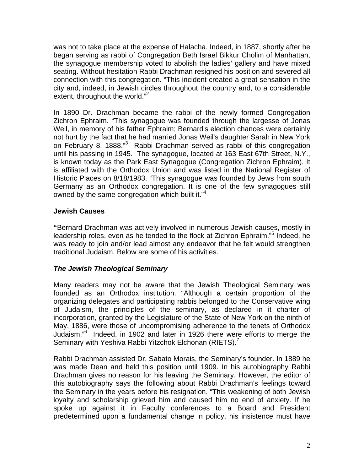was not to take place at the expense of Halacha. Indeed, in 1887, shortly after he began serving as rabbi of Congregation Beth Israel Bikkur Cholim of Manhattan, the synagogue membership voted to abolish the ladies' gallery and have mixed seating. Without hesitation Rabbi Drachman resigned his position and severed all connection with this congregation. "This incident created a great sensation in the city and, indeed, in Jewish circles throughout the country and, to a considerable extent, throughout the world."<sup>2</sup>

In 1890 Dr. Drachman became the rabbi of the newly formed Congregation Zichron Ephraim. "This synagogue was founded through the largesse of Jonas Weil, in memory of his father Ephraim; Bernard's election chances were certainly not hurt by the fact that he had married Jonas Weil's daughter Sarah in New York on February 8, 1888."<sup>3</sup> Rabbi Drachman served as rabbi of this congregation until his passing in 1945. The synagogue, located at 163 East 67th Street, N.Y., is known today as the Park East Synagogue (Congregation Zichron Ephraim). It is affiliated with the Orthodox Union and was listed in the National Register of Historic Places on 8/18/1983. "This synagogue was founded by Jews from south Germany as an Orthodox congregation. It is one of the few synagogues still owned by the same congregation which built it."<sup>4</sup>

### **Jewish Causes**

**"**Bernard Drachman was actively involved in numerous Jewish causes, mostly in leadership roles, even as he tended to the flock at Zichron Ephraim."<sup>5</sup> Indeed, he was ready to join and/or lead almost any endeavor that he felt would strengthen traditional Judaism. Below are some of his activities.

#### *The Jewish Theological Seminary*

Many readers may not be aware that the Jewish Theological Seminary was founded as an Orthodox institution. "Although a certain proportion of the organizing delegates and participating rabbis belonged to the Conservative wing of Judaism, the principles of the seminary, as declared in it charter of incorporation, granted by the Legislature of the State of New York on the ninth of May, 1886, were those of uncompromising adherence to the tenets of Orthodox Judaism."<sup>6</sup> Indeed, in 1902 and later in 1926 there were efforts to merge the Seminary with Yeshiva Rabbi Yitzchok Elchonan (RIETS).<sup>7</sup>

Rabbi Drachman assisted Dr. Sabato Morais, the Seminary's founder. In 1889 he was made Dean and held this position until 1909. In his autobiography Rabbi Drachman gives no reason for his leaving the Seminary. However, the editor of this autobiography says the following about Rabbi Drachman's feelings toward the Seminary in the years before his resignation. "This weakening of both Jewish loyalty and scholarship grieved him and caused him no end of anxiety. If he spoke up against it in Faculty conferences to a Board and President predetermined upon a fundamental change in policy, his insistence must have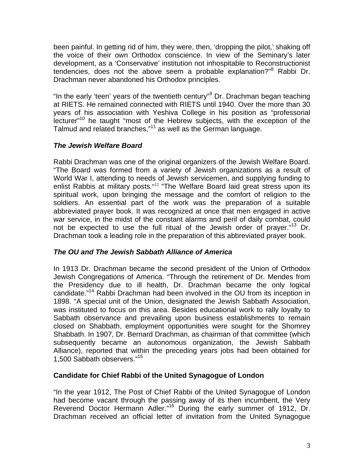been painful. In getting rid of him, they were, then, 'dropping the pilot,' shaking off the voice of their own Orthodox conscience. In view of the Seminary's later development, as a 'Conservative' institution not inhospitable to Reconstructionist tendencies, does not the above seem a probable explanation?"<sup>8</sup> Rabbi Dr. Drachman never abandoned his Orthodox principles.

"In the early 'teen' years of the twentieth century"<sup>9</sup> Dr. Drachman began teaching at RIETS. He remained connected with RIETS until 1940. Over the more than 30 years of his association with Yeshiva College in his position as "professorial lecturer"10 he taught "most of the Hebrew subjects, with the exception of the Talmud and related branches,"11 as well as the German language.

### *The Jewish Welfare Board*

Rabbi Drachman was one of the original organizers of the Jewish Welfare Board. "The Board was formed from a variety of Jewish organizations as a result of World War I, attending to needs of Jewish servicemen, and supplying funding to enlist Rabbis at military posts."<sup>12</sup> "The Welfare Board laid great stress upon its spiritual work, upon bringing the message and the comfort of religion to the soldiers. An essential part of the work was the preparation of a suitable abbreviated prayer book. It was recognized at once that men engaged in active war service, in the midst of the constant alarms and peril of daily combat, could not be expected to use the full ritual of the Jewish order of prayer."<sup>13</sup> Dr. Drachman took a leading role in the preparation of this abbreviated prayer book.

### *The OU and The Jewish Sabbath Alliance of America*

In 1913 Dr. Drachman became the second president of the Union of Orthodox Jewish Congregations of America. "Through the retirement of Dr. Mendes from the Presidency due to ill health, Dr. Drachman became the only logical candidate."14 Rabbi Drachman had been involved in the OU from its inception in 1898. "A special unit of the Union, designated the Jewish Sabbath Association, was instituted to focus on this area. Besides educational work to rally loyalty to Sabbath observance and prevailing upon business establishments to remain closed on Shabbath, employment opportunities were sought for the Shomrey Shabbath. In 1907, Dr. Bernard Drachman, as chairman of that committee (which subsequently became an autonomous organization, the Jewish Sabbath Alliance), reported that within the preceding years jobs had been obtained for 1,500 Sabbath observers."15

### **Candidate for Chief Rabbi of the United Synagogue of London**

"In the year 1912, The Post of Chief Rabbi of the United Synagogue of London had become vacant through the passing away of its then incumbent, the Very Reverend Doctor Hermann Adler."16 During the early summer of 1912, Dr. Drachman received an official letter of invitation from the United Synagogue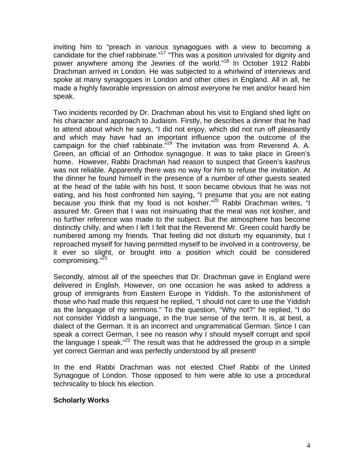inviting him to "preach in various synagogues with a view to becoming a candidate for the chief rabbinate."<sup>17</sup> "This was a position unrivaled for dignity and power anywhere among the Jewries of the world."18 In October 1912 Rabbi Drachman arrived in London. He was subjected to a whirlwind of interviews and spoke at many synagogues in London and other cities in England. All in all, he made a highly favorable impression on almost everyone he met and/or heard him speak.

Two incidents recorded by Dr. Drachman about his visit to England shed light on his character and approach to Judaism. Firstly, he describes a dinner that he had to attend about which he says, "I did not enjoy, which did not run off pleasantly and which may have had an important influence upon the outcome of the campaign for the chief rabbinate."<sup>19</sup> The invitation was from Reverend A. A. Green, an official of an Orthodox synagogue. It was to take place in Green's home. However, Rabbi Drachman had reason to suspect that Green's kashrus was not reliable. Apparently there was no way for him to refuse the invitation. At the dinner he found himself in the presence of a number of other guests seated at the head of the table with his host. It soon became obvious that he was not eating, and his host confronted him saying, "I presume that you are not eating because you think that my food is not kosher."<sup>20</sup> Rabbi Drachman writes, "I assured Mr. Green that I was not insinuating that the meal was not kosher, and no further reference was made to the subject. But the atmosphere has become distinctly chilly, and when I left I felt that the Reverend Mr. Green could hardly be numbered among my friends. That feeling did not disturb my equanimity, but I reproached myself for having permitted myself to be involved in a controversy, be it ever so slight, or brought into a position which could be considered compromising."<sup>21</sup>

Secondly, almost all of the speeches that Dr. Drachman gave in England were delivered in English. However, on one occasion he was asked to address a group of immigrants from Eastern Europe in Yiddish. To the astonishment of those who had made this request he replied, "I should not care to use the Yiddish as the language of my sermons." To the question, "Why not?" he replied, "I do not consider Yiddish a language, in the true sense of the term. It is, at best, a dialect of the German. It is an incorrect and ungrammatical German. Since I can speak a correct German, I see no reason why I should myself corrupt and spoil the language I speak."<sup>22</sup> The result was that he addressed the group in a simple yet correct German and was perfectly understood by all present!

In the end Rabbi Drachman was not elected Chief Rabbi of the United Synagogue of London. Those opposed to him were able to use a procedural technicality to block his election.

### **Scholarly Works**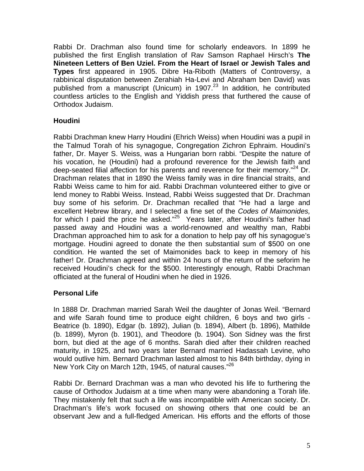Rabbi Dr. Drachman also found time for scholarly endeavors. In 1899 he published the first English translation of Rav Samson Raphael Hirsch's **The Nineteen Letters of Ben Uziel. From the Heart of Israel or Jewish Tales and Types** first appeared in 1905. Dibre Ha-Riboth (Matters of Controversy, a rabbinical disputation between Zerahiah Ha-Levi and Abraham ben David) was published from a manuscript (Unicum) in 1907. $^{23}$  In addition, he contributed countless articles to the English and Yiddish press that furthered the cause of Orthodox Judaism.

### **Houdini**

Rabbi Drachman knew Harry Houdini (Ehrich Weiss) when Houdini was a pupil in the Talmud Torah of his synagogue, Congregation Zichron Ephraim. Houdini's father, Dr. Mayer S. Weiss, was a Hungarian born rabbi. "Despite the nature of his vocation, he (Houdini) had a profound reverence for the Jewish faith and deep-seated filial affection for his parents and reverence for their memory."<sup>24</sup> Dr. Drachman relates that in 1890 the Weiss family was in dire financial straits, and Rabbi Weiss came to him for aid. Rabbi Drachman volunteered either to give or lend money to Rabbi Weiss. Instead, Rabbi Weiss suggested that Dr. Drachman buy some of his seforim. Dr. Drachman recalled that "He had a large and excellent Hebrew library, and I selected a fine set of the *Codes of Maimonides,*  for which I paid the price he asked."<sup>25</sup> Years later, after Houdini's father had passed away and Houdini was a world-renowned and wealthy man, Rabbi Drachman approached him to ask for a donation to help pay off his synagogue's mortgage. Houdini agreed to donate the then substantial sum of \$500 on one condition. He wanted the set of Maimonides back to keep in memory of his father! Dr. Drachman agreed and within 24 hours of the return of the seforim he received Houdini's check for the \$500. Interestingly enough, Rabbi Drachman officiated at the funeral of Houdini when he died in 1926.

### **Personal Life**

In 1888 Dr. Drachman married Sarah Weil the daughter of Jonas Weil. "Bernard and wife Sarah found time to produce eight children, 6 boys and two girls - Beatrice (b. 1890), Edgar (b. 1892), Julian (b. 1894), Albert (b. 1896), Mathilde (b. 1899), Myron (b. 1901), and Theodore (b. 1904). Son Sidney was the first born, but died at the age of 6 months. Sarah died after their children reached maturity, in 1925, and two years later Bernard married Hadassah Levine, who would outlive him. Bernard Drachman lasted almost to his 84th birthday, dying in New York City on March 12th, 1945, of natural causes."<sup>26</sup>

Rabbi Dr. Bernard Drachman was a man who devoted his life to furthering the cause of Orthodox Judaism at a time when many were abandoning a Torah life. They mistakenly felt that such a life was incompatible with American society. Dr. Drachman's life's work focused on showing others that one could be an observant Jew and a full-fledged American. His efforts and the efforts of those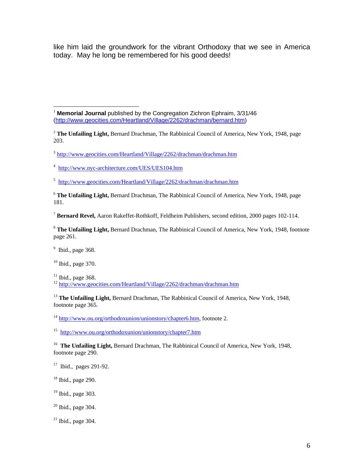like him laid the groundwork for the vibrant Orthodoxy that we see in America today. May he long be remembered for his good deeds!

 $\overline{a}$ <sup>1</sup> **Memorial Journal** published by the Congregation Zichron Ephraim, 3/31/46 (http://www.geocities.com/Heartland/Village/2262/drachman/bernard.htm)

<sup>2</sup> **The Unfailing Light,** Bernard Drachman, The Rabbinical Council of America, New York, 1948, page 203.

<sup>3</sup> http://www.geocities.com/Heartland/Village/2262/drachman/drachman.htm

<sup>4</sup> http://www.nyc-architecture.com/UES/UES104.htm

<sup>5</sup> http://www.geocities.com/Heartland/Village/2262/drachman/drachman.htm

<sup>6</sup> **The Unfailing Light,** Bernard Drachman, The Rabbinical Council of America, New York, 1948, page 181.

<sup>7</sup> **Bernard Revel,** Aaron Rakeffet-Rothkoff, Feldheim Publishers, second edition, 2000 pages 102-114.

<sup>8</sup> **The Unfailing Light,** Bernard Drachman, The Rabbinical Council of America, New York, 1948, footnote page 261.

 $9$  Ibid., page 368.

 $10$  Ibid., page 370.

 $11$  Ibid., page 368.

<sup>12</sup> http://www.geocities.com/Heartland/Village/2262/drachman/drachman.htm

<sup>13</sup> The Unfailing Light, Bernard Drachman, The Rabbinical Council of America, New York, 1948, footnote page 365.

<sup>14</sup> http://www.ou.org/orthodoxunion/unionstory/chapter6.htm, footnote 2.

15 http://www.ou.org/orthodoxunion/unionstory/chapter7.htm

<sup>16</sup> The Unfailing Light, Bernard Drachman, The Rabbinical Council of America, New York, 1948, footnote page 290.

 $17$  Ibid., pages 291-92.

 $18$  Ibid., page 290.

<sup>19</sup> Ibid., page 303.

 $20$  Ibid., page 304.

 $^{21}$  Ibid., page 304.